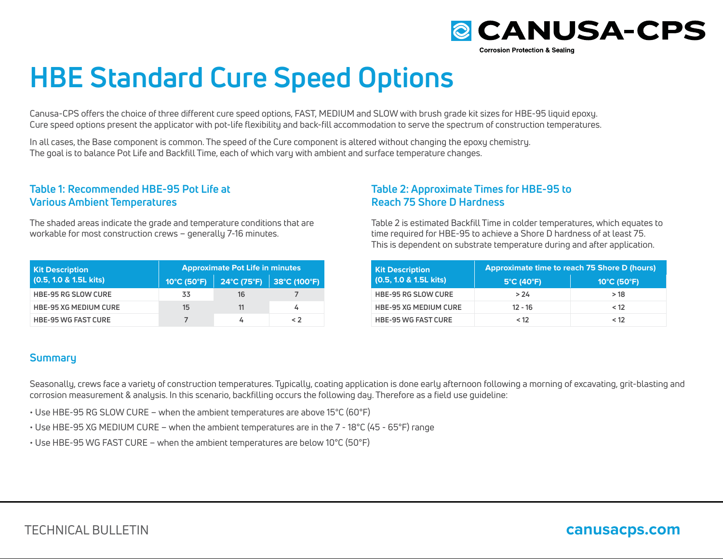

# **HBE Standard Cure Speed Options**

Canusa-CPS offers the choice of three different cure speed options, FAST, MEDIUM and SLOW with brush grade kit sizes for HBE-95 liquid epoxy. Cure speed options present the applicator with pot-life flexibility and back-fill accommodation to serve the spectrum of construction temperatures.

In all cases, the Base component is common. The speed of the Cure component is altered without changing the epoxy chemistry. The goal is to balance Pot Life and Backfill Time, each of which vary with ambient and surface temperature changes.

### **Table 1: Recommended HBE-95 Pot Life at Various Ambient Temperatures**

The shaded areas indicate the grade and temperature conditions that are workable for most construction crews – generally 7-16 minutes.

| <b>Kit Description</b>       | <b>Approximate Pot Life in minutes</b> |    |                                                                                             |
|------------------------------|----------------------------------------|----|---------------------------------------------------------------------------------------------|
| $(0.5, 1.0 & 1.5L$ kits)     | 10°C (50°F)                            |    | $24^{\circ}$ C (75 $^{\circ}$ F) $\parallel$ 38 $^{\circ}$ C (100 $^{\circ}$ F) $\parallel$ |
| <b>HBE-95 RG SLOW CURE</b>   | 33                                     | 16 |                                                                                             |
| <b>HBE-95 XG MEDIUM CURE</b> | 15                                     | 11 |                                                                                             |
| <b>HBE-95 WG FAST CURE</b>   |                                        |    | $\leq$ 2                                                                                    |

## **Summary**

**Table 2: Approximate Times for HBE-95 to Reach 75 Shore D Hardness**

Table 2 is estimated Backfill Time in colder temperatures, which equates to time required for HBE-95 to achieve a Shore D hardness of at least 75. This is dependent on substrate temperature during and after application.

| <b>Kit Description</b>       | <b>Approximate time to reach 75 Shore D (hours)</b> |                                  |  |
|------------------------------|-----------------------------------------------------|----------------------------------|--|
| $(0.5, 1.0 \& 1.5L$ kits)    | $5^{\circ}$ C (40 $^{\circ}$ F)                     | $10^{\circ}$ C (50 $^{\circ}$ F) |  |
| <b>HBE-95 RG SLOW CURE</b>   | > 24                                                | >18                              |  |
| <b>HBE-95 XG MEDIUM CURE</b> | $12 - 16$                                           | < 12                             |  |
| <b>HBE-95 WG FAST CURE</b>   | < 12                                                | < 12                             |  |

Seasonally, crews face a variety of construction temperatures. Typically, coating application is done early afternoon following a morning of excavating, grit-blasting and corrosion measurement & analysis. In this scenario, backfilling occurs the following day. Therefore as a field use guideline:

• Use HBE-95 RG SLOW CURE – when the ambient temperatures are above 15°C (60°F)

• Use HBE-95 XG MEDIUM CURE – when the ambient temperatures are in the 7 - 18°C (45 - 65°F) range

• Use HBE-95 WG FAST CURE – when the ambient temperatures are below 10°C (50°F)

# **canusacps.com**